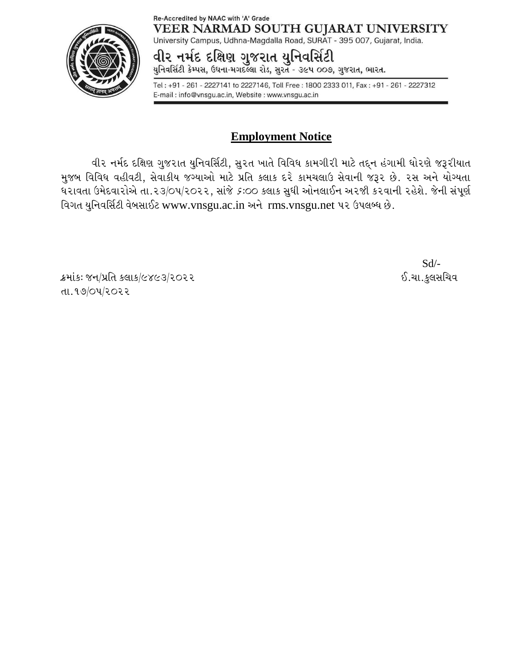## Re-Accredited by NAAC with 'A' Grade VEER NARMAD SOUTH GUJARAT UNIVERSITY

University Campus, Udhna-Magdalla Road, SURAT - 395 007, Gujarat, India. વીર નમંદ દક્ષિણ ગુજરાત યુનિવસિંટી

યુનિવર્સિટી કેમ્પસ, ઉઘના-મગદલ્લા રોડ, સુરત - ૩૯૫ ૦૦૭, ગુજરાત, ભારત.

Tel: +91 - 261 - 2227141 to 2227146, Toll Free: 1800 2333 011, Fax: +91 - 261 - 2227312 E-mail: info@vnsgu.ac.in, Website: www.vnsgu.ac.in

## **Employment Notice**

વીર નર્મદ દક્ષિણ ગુજરાત યુનિવર્સિટી, સુરત ખાતે વિવિધ કામગીરી માટે તદ્દન હંગામી ધોરણે જરૂરીયાત મુજબ વિવિધ વહીવટી, સેવાકીય જગ્યાઓ માટે પ્રતિ કલાક દરે કામચલાઉ સેવાની જરૂર છે. રસ અને યોગ્યતા ઘરાવતા ઉમેદવારોએ તા.૨૩/૦૫/૨૦૨૨, સાંજે *૬*:૦૦ કલાક સુધી ઓનલાઈન અ૨જી કરવાની ૨હેશે. જેની સંપૂર્ણ વિગત યુનિવર્સિટી વેબસાઈટ [www.vnsgu.ac.in](http://www.vnsgu.ac.in/) અને rms.vnsgu.net ૫૨ ઉપલબ્ધ છે.

ક્રમાંકઃ જન/પ્રતિ કલાક/૯૪૯૩/૨૦૨૨ . કર્યા કાર્યક્રમાં આ ગામના પ્રદેશ માટે છે.ચા.કુલસચિવ તા. ૧૭/૦૫/૨૦૨૨

Sd/-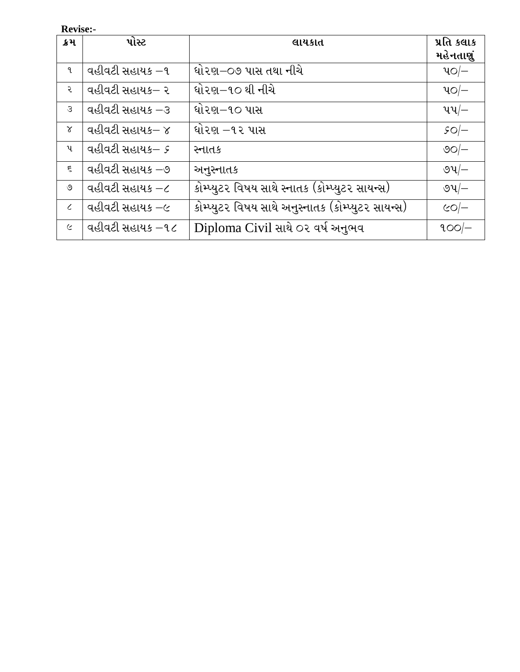**Revise:-**

| ક્રમ          | પોસ્ટ            | લાયકાત                                             | પ્રતિ કલાક               |
|---------------|------------------|----------------------------------------------------|--------------------------|
|               |                  |                                                    | મહેનતાણું                |
| 9.            | વહીવટી સહાયક –૧  | ધો૨ણ−૦૭ પાસ તથા નીચે                               | $40 -$                   |
| ર             | વહીવટી સહાયક– ૨  | ધો૨ણ−૧૦ થી નીચે                                    | $40 -$                   |
| $\mathcal{S}$ | વહીવટી સહાયક –૩  | ઘો૨ણ−૧૦ પાસ                                        | પપ $\leftarrow$          |
| $\alpha$      | વહીવટી સહાયક– ૪  | ઘો૨ણ −૧૨ પાસ                                       | $SO$ -                   |
| પ             | વહીવટી સહાયક– ૬  | સ્નાતક                                             | <u>ଏଠା<math>-</math></u> |
| $\epsilon$    | વહીવટી સહાયક –૭  | અનુસ્નાતક                                          | ও $4/-$                  |
| ৩             | વહીવટી સહાયક –૮  | કોમ્પ્યુટર વિષય સાથે સ્નાતક (કોમ્પ્યુટર સાયન્સ)    | ৩પ $-$                   |
| $\epsilon$    | વહીવટી સહાયક –૯  | કોમ્પ્યુટર વિષય સાથે અનુસ્નાતક (કોમ્પ્યુટર સાયન્સ) | $CO$ -                   |
| $\epsilon$    | વહીવટી સહાયક –૧૮ | Diploma Civil સાથે ૦૨ વર્ષ અનુભવ                   | $900$ $-$                |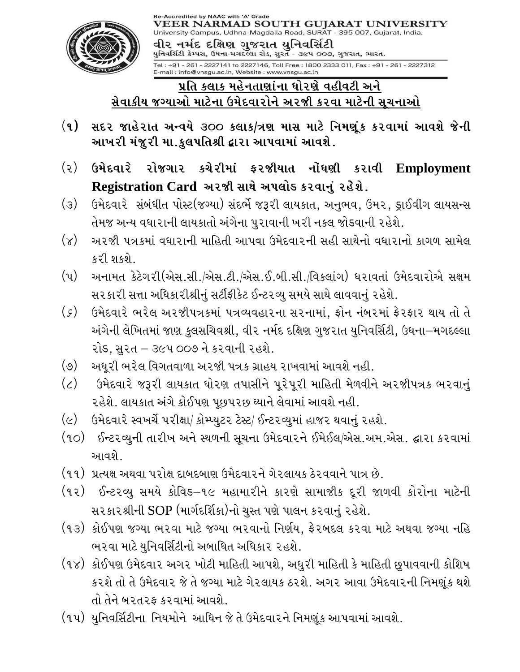

## પ્રતિ કલાક મહેનતાણાંના ધોરણે વહીવટી અને સેવાકીય જગ્યાઓ માટેના ઉમેદવારોને અરજી કરવા માટેની સૂચનાઓ

- $(q)$ સદર જાહેરાત અન્વયે ૩૦૦ કલાક/ત્રણ માસ માટે નિમણુંક કરવામાં આવશે જેની આખરી મંજુરી મા.કુલપતિશ્રી દ્વારા આપવામાં આવશે.
- (૨) ઉમેદવારે રોજગાર કચેરીમાં ફરજીયાત નોંધણી કરાવી Employment Registration Card અરજી સાથે અપલોક કરવાનું રહેશે.
- (૩) ઉમેદવારે સંબંધીત પોસ્ટ(જગ્યા) સંદર્ભે જરૂરી લાયકાત, અનુભવ, ઉંમર, ડ્રાઈવીંગ લાયસન્સ તેમજ અન્ય વધારાની લાયકાતો અંગેના પુરાવાની ખરી નકલ જોડવાની રહેશે.
- (૪) અ૨જી પત્રકમાં વધારાની માહિતી આપવા ઉમેદવારની સહી સાથેનો વધારાનો કાગળ સામેલ  $521.9159$
- (૫) અનામત કેટેગરી(એસ.સી./એસ.ટી./એસ.ઈ.બી.સી./વિકલાંગ) ધરાવતાં ઉમેદવારોએ સક્ષમ સ૨કા૨ી સત્તા અધિકા૨ીશ્રીનું સર્ટીફીકેટ ઈન્ટ૨વ્યુ સમયે સાથે લાવવાનું ૨હેશે.
- $(\zeta)$ ઉમેદવારે ભરેલ અરજીપત્રકમાં પત્રવ્યવહારના સરનામાં, ફોન નંબરમાં ફેરફાર થાય તો તે અંગેની લેખિતમાં જાણ કુલસચિવશ્રી, વી૨ નર્મદ દક્ષિણ ગુજ૨ાત યુનિવર્સિટી, ઉઘના–મગદલ્લા રોડ, સુરત – ૩૯૫ ૦૦૭ ને કરવાની રહશે.
- (૭) અધૂરી ભરેલ વિગતવાળા અરજી પત્રક ગ્રાહય રાખવામાં આવશે નહી.
- (૮) ઉમેદવારે જરૂરી લાયકાત ધોરણ તપાસીને પૂરેપૂરી માહિતી મેળવીને અરજીપત્રક ભરવાનું રહેશે. લાયકાત અંગે કોઈપણ પૂછપરછ ઘ્યાને લેવામાં આવશે નહી.
- (૯) ઉમેદવારે સ્વખર્ચે પરીક્ષા/ કોમ્પ્યુટર ટેસ્ટ/ ઈન્ટરવ્યુમાં હાજર થવાનું રહશે.
- (૧૦) ઈન્ટરવ્યની તારીખ અને સ્થળની સચના ઉમેદવારને ઈમેઈલ/એસ.અમ.એસ. દ્વારા કરવામાં આવશે
- (૧૧) પ્રત્યક્ષ અથવા પરોક્ષ દાબદબાણ ઉમેદવારને ગેરલાયક ઠેરવવાને પાત્ર છે.
- (૧૨) ઈન્ટરવ્યુ સમયે કોવિડ–૧૯ મહામારીને કારણે સામાજીક દૂરી જાળવી કોરોના માટેની સ૨કા૨શ્રીની SOP (માર્ગદર્શિકા)નો ચુસ્ત પણે પાલન ક૨વાનું ૨હેશે.
- (૧૩) કોઈપણ જગ્યા ભરવા માટે જગ્યા ભરવાનો નિર્ણય, ફેરબદલ કરવા માટે અથવા જગ્યા નહિ ભ૨વા માટે યુનિવર્સિટીનો અબાધિત અધિકા૨ ૨હશે.
- (૧૪) કોઈપણ ઉમેદવાર અગર ખોટી માહિતી આપશે, અધુરી માહિતી કે માહિતી છુપાવવાની કોશિષ કરશે તો તે ઉમેદવાર જે તે જગ્યા માટે ગેરલાયક ઠરશે. અગર આવા ઉમેદવારની નિમણૂંક થશે તો તેને બરતરફ કરવામાં આવશે.
- (૧૫) યુનિવર્સિટીના નિયમોને આધિન જે તે ઉમેદવારને નિમણૂંક આપવામાં આવશે.